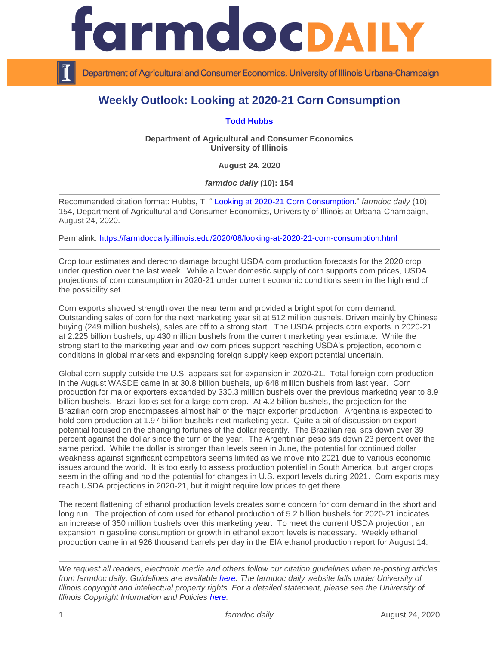

Department of Agricultural and Consumer Economics, University of Illinois Urbana-Champaign

## **Weekly Outlook: Looking at 2020-21 Corn Consumption**

## **[Todd Hubbs](https://ace.illinois.edu/directory/jhubbs3)**

**Department of Agricultural and Consumer Economics University of Illinois**

**August 24, 2020**

*farmdoc daily* **(10): 154**

Recommended citation format: Hubbs, T. " [Looking at 2020-21 Corn Consumption.](https://farmdocdaily.illinois.edu/2020/08/looking-at-2020-21-corn-consumption.html)" *farmdoc daily* (10): 154, Department of Agricultural and Consumer Economics, University of Illinois at Urbana-Champaign, August 24, 2020.

Permalink:<https://farmdocdaily.illinois.edu/2020/08/looking-at-2020-21-corn-consumption.html>

Crop tour estimates and derecho damage brought USDA corn production forecasts for the 2020 crop under question over the last week. While a lower domestic supply of corn supports corn prices, USDA projections of corn consumption in 2020-21 under current economic conditions seem in the high end of the possibility set.

Corn exports showed strength over the near term and provided a bright spot for corn demand. Outstanding sales of corn for the next marketing year sit at 512 million bushels. Driven mainly by Chinese buying (249 million bushels), sales are off to a strong start. The USDA projects corn exports in 2020-21 at 2.225 billion bushels, up 430 million bushels from the current marketing year estimate. While the strong start to the marketing year and low corn prices support reaching USDA's projection, economic conditions in global markets and expanding foreign supply keep export potential uncertain.

Global corn supply outside the U.S. appears set for expansion in 2020-21. Total foreign corn production in the August WASDE came in at 30.8 billion bushels, up 648 million bushels from last year. Corn production for major exporters expanded by 330.3 million bushels over the previous marketing year to 8.9 billion bushels. Brazil looks set for a large corn crop. At 4.2 billion bushels, the projection for the Brazilian corn crop encompasses almost half of the major exporter production. Argentina is expected to hold corn production at 1.97 billion bushels next marketing year. Quite a bit of discussion on export potential focused on the changing fortunes of the dollar recently. The Brazilian real sits down over 39 percent against the dollar since the turn of the year. The Argentinian peso sits down 23 percent over the same period. While the dollar is stronger than levels seen in June, the potential for continued dollar weakness against significant competitors seems limited as we move into 2021 due to various economic issues around the world. It is too early to assess production potential in South America, but larger crops seem in the offing and hold the potential for changes in U.S. export levels during 2021. Corn exports may reach USDA projections in 2020-21, but it might require low prices to get there.

The recent flattening of ethanol production levels creates some concern for corn demand in the short and long run. The projection of corn used for ethanol production of 5.2 billion bushels for 2020-21 indicates an increase of 350 million bushels over this marketing year. To meet the current USDA projection, an expansion in gasoline consumption or growth in ethanol export levels is necessary. Weekly ethanol production came in at 926 thousand barrels per day in the EIA ethanol production report for August 14.

*We request all readers, electronic media and others follow our citation guidelines when re-posting articles from farmdoc daily. Guidelines are available [here.](http://farmdocdaily.illinois.edu/citationguide.html) The farmdoc daily website falls under University of Illinois copyright and intellectual property rights. For a detailed statement, please see the University of Illinois Copyright Information and Policies [here.](http://www.cio.illinois.edu/policies/copyright/)*